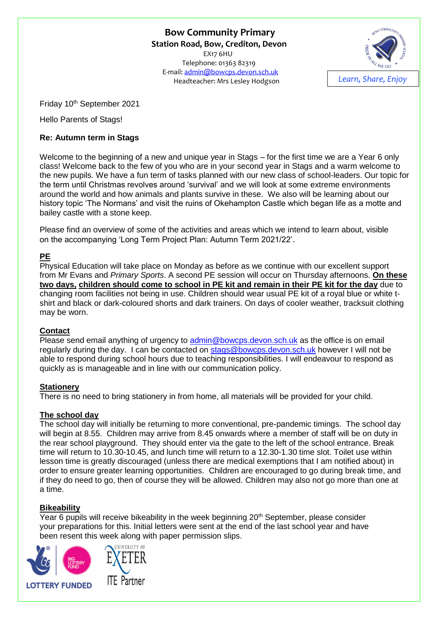**Bow Community Primary Station Road, Bow, Crediton, Devon**  EX17 6HU Telephone: 01363 82319 E-mail: [admin@bowcps.devon.sch.uk](mailto:admin@bowcps.devon.sch.uk) Headteacher: Mrs Lesley Hodgson *Learn, Share, Enjoy*



Friday 10<sup>th</sup> September 2021

Hello Parents of Stags!

### **Re: Autumn term in Stags**

Welcome to the beginning of a new and unique year in Stags – for the first time we are a Year 6 only class! Welcome back to the few of you who are in your second year in Stags and a warm welcome to the new pupils. We have a fun term of tasks planned with our new class of school-leaders. Our topic for the term until Christmas revolves around 'survival' and we will look at some extreme environments around the world and how animals and plants survive in these. We also will be learning about our history topic 'The Normans' and visit the ruins of Okehampton Castle which began life as a motte and bailey castle with a stone keep.

Please find an overview of some of the activities and areas which we intend to learn about, visible on the accompanying 'Long Term Project Plan: Autumn Term 2021/22'.

## **PE**

Physical Education will take place on Monday as before as we continue with our excellent support from Mr Evans and *Primary Sports*. A second PE session will occur on Thursday afternoons. **On these two days, children should come to school in PE kit and remain in their PE kit for the day** due to changing room facilities not being in use. Children should wear usual PE kit of a royal blue or white tshirt and black or dark-coloured shorts and dark trainers. On days of cooler weather, tracksuit clothing may be worn.

### **Contact**

Please send email anything of urgency to [admin@bowcps.devon.sch.uk](mailto:admin@bowcps.devon.sch.uk) as the office is on email regularly during the day. I can be contacted on [stags@bowcps.devon.sch.uk](mailto:stags@bowcps.devon.sch.uk) however I will not be able to respond during school hours due to teaching responsibilities. I will endeavour to respond as quickly as is manageable and in line with our communication policy.

### **Stationery**

There is no need to bring stationery in from home, all materials will be provided for your child.

### **The school day**

The school day will initially be returning to more conventional, pre-pandemic timings. The school day will begin at 8.55. Children may arrive from 8.45 onwards where a member of staff will be on duty in the rear school playground. They should enter via the gate to the left of the school entrance. Break time will return to 10.30-10.45, and lunch time will return to a 12.30-1.30 time slot. Toilet use within lesson time is greatly discouraged (unless there are medical exemptions that I am notified about) in order to ensure greater learning opportunities. Children are encouraged to go during break time, and if they do need to go, then of course they will be allowed. Children may also not go more than one at a time.

### **Bikeability**

Year 6 pupils will receive bikeability in the week beginning  $20<sup>th</sup>$  September, please consider your preparations for this. Initial letters were sent at the end of the last school year and have been resent this week along with paper permission slips.



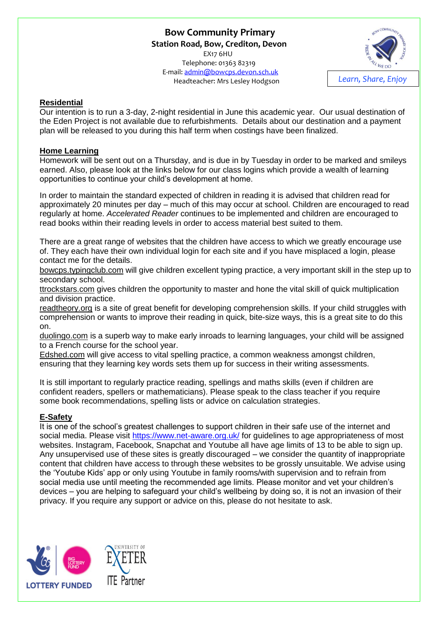# **Bow Community Primary Station Road, Bow, Crediton, Devon**  EX17 6HU Telephone: 01363 82319 E-mail: [admin@bowcps.devon.sch.uk](mailto:admin@bowcps.devon.sch.uk)



# **Residential**

Our intention is to run a 3-day, 2-night residential in June this academic year. Our usual destination of the Eden Project is not available due to refurbishments. Details about our destination and a payment plan will be released to you during this half term when costings have been finalized.

## **Home Learning**

Homework will be sent out on a Thursday, and is due in by Tuesday in order to be marked and smileys earned. Also, please look at the links below for our class logins which provide a wealth of learning opportunities to continue your child's development at home.

In order to maintain the standard expected of children in reading it is advised that children read for approximately 20 minutes per day – much of this may occur at school. Children are encouraged to read regularly at home. *Accelerated Reader* continues to be implemented and children are encouraged to read books within their reading levels in order to access material best suited to them.

There are a great range of websites that the children have access to which we greatly encourage use of. They each have their own individual login for each site and if you have misplaced a login, please contact me for the details.

bowcps.typingclub.com will give children excellent typing practice, a very important skill in the step up to secondary school.

ttrockstars.com gives children the opportunity to master and hone the vital skill of quick multiplication and division practice.

readtheory.org is a site of great benefit for developing comprehension skills. If your child struggles with comprehension or wants to improve their reading in quick, bite-size ways, this is a great site to do this on.

duolingo.com is a superb way to make early inroads to learning languages, your child will be assigned to a French course for the school year.

Edshed.com will give access to vital spelling practice, a common weakness amongst children, ensuring that they learning key words sets them up for success in their writing assessments.

It is still important to regularly practice reading, spellings and maths skills (even if children are confident readers, spellers or mathematicians). Please speak to the class teacher if you require some book recommendations, spelling lists or advice on calculation strategies.

### **E-Safety**

It is one of the school's greatest challenges to support children in their safe use of the internet and social media. Please visit<https://www.net-aware.org.uk/> for guidelines to age appropriateness of most websites. Instagram, Facebook, Snapchat and Youtube all have age limits of 13 to be able to sign up. Any unsupervised use of these sites is greatly discouraged – we consider the quantity of inappropriate content that children have access to through these websites to be grossly unsuitable. We advise using the 'Youtube Kids' app or only using Youtube in family rooms/with supervision and to refrain from social media use until meeting the recommended age limits. Please monitor and vet your children's devices – you are helping to safeguard your child's wellbeing by doing so, it is not an invasion of their privacy. If you require any support or advice on this, please do not hesitate to ask.